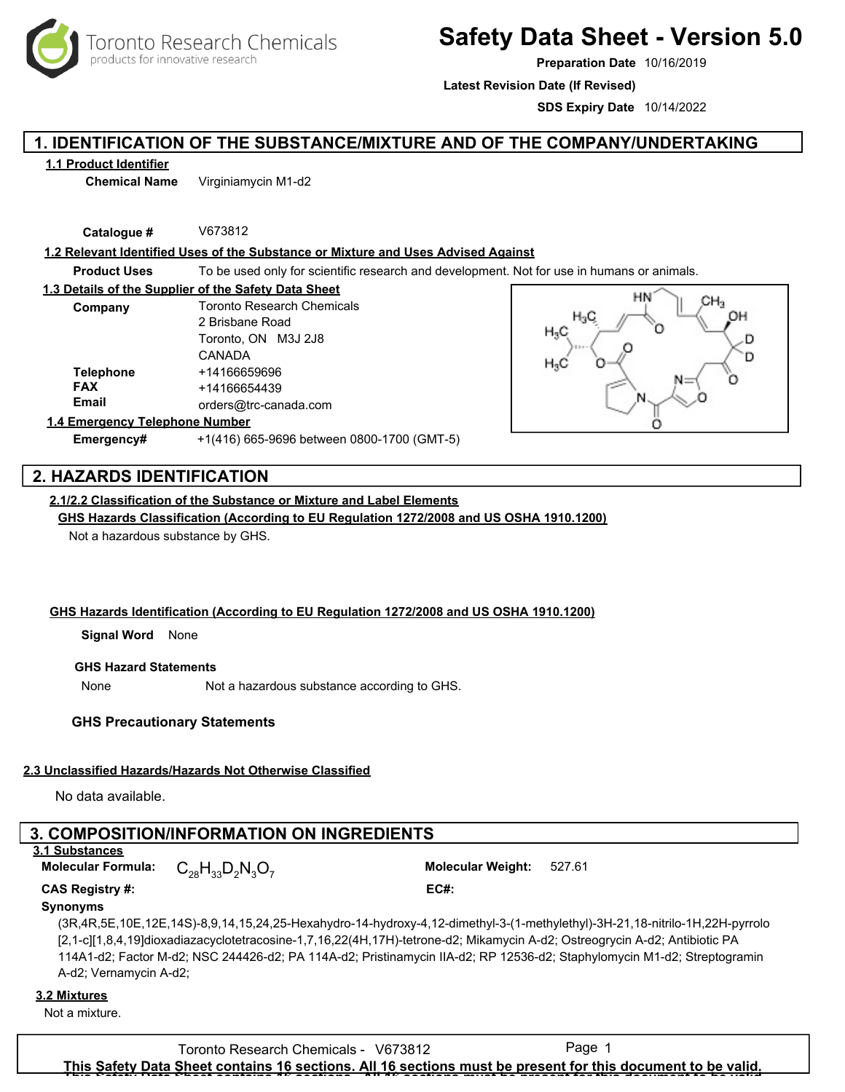oronto Research Chemicals products for innovative research

# **Safety Data Sheet - Version 5.0**

**Preparation Date** 10/16/2019

**Latest Revision Date (If Revised)**

**SDS Expiry Date** 10/14/2022

## **1. IDENTIFICATION OF THE SUBSTANCE/MIXTURE AND OF THE COMPANY/UNDERTAKING**

### **1.1 Product Identifier**

**Chemical Name** Virginiamycin M1-d2

**Catalogue #** V673812

#### **1.2 Relevant Identified Uses of the Substance or Mixture and Uses Advised Against**

**Product Uses** To be used only for scientific research and development. Not for use in humans or animals.

| 1.3 Details of the Supplier of the Safety Data Sheet |                                   |
|------------------------------------------------------|-----------------------------------|
| Company                                              | <b>Toronto Research Chemicals</b> |
|                                                      | 2 Brisbane Road                   |
|                                                      | Toronto, ON M3J 2J8               |
|                                                      | CANADA                            |
| <b>Telephone</b>                                     | +14166659696                      |
| <b>FAX</b>                                           | +14166654439                      |
| Email                                                | orders@trc-canada.com             |
| 1.4 Emergency Telephone Number                       |                                   |



# **Emergency#** +1(416) 665-9696 between 0800-1700 (GMT-5)

## **2. HAZARDS IDENTIFICATION**

## **2.1/2.2 Classification of the Substance or Mixture and Label Elements**

**GHS Hazards Classification (According to EU Regulation 1272/2008 and US OSHA 1910.1200)**

Not a hazardous substance by GHS.

## **GHS Hazards Identification (According to EU Regulation 1272/2008 and US OSHA 1910.1200)**

**Signal Word** None

### **GHS Hazard Statements**

None Not a hazardous substance according to GHS.

## **GHS Precautionary Statements**

## **2.3 Unclassified Hazards/Hazards Not Otherwise Classified**

No data available.

## **3. COMPOSITION/INFORMATION ON INGREDIENTS**

## **3.1 Substances**

 $C_{28}H_{33}D_2N_3O_7$ 

**Molecular Formula: Molecular Weight:** 527.61

## **CAS Registry #: EC#:**

**Synonyms**

(3R,4R,5E,10E,12E,14S)-8,9,14,15,24,25-Hexahydro-14-hydroxy-4,12-dimethyl-3-(1-methylethyl)-3H-21,18-nitrilo-1H,22H-pyrrolo [2,1-c][1,8,4,19]dioxadiazacyclotetracosine-1,7,16,22(4H,17H)-tetrone-d2; Mikamycin A-d2; Ostreogrycin A-d2; Antibiotic PA 114A1-d2; Factor M-d2; NSC 244426-d2; PA 114A-d2; Pristinamycin IIA-d2; RP 12536-d2; Staphylomycin M1-d2; Streptogramin A-d2; Vernamycin A-d2;

#### **3.2 Mixtures**

Not a mixture.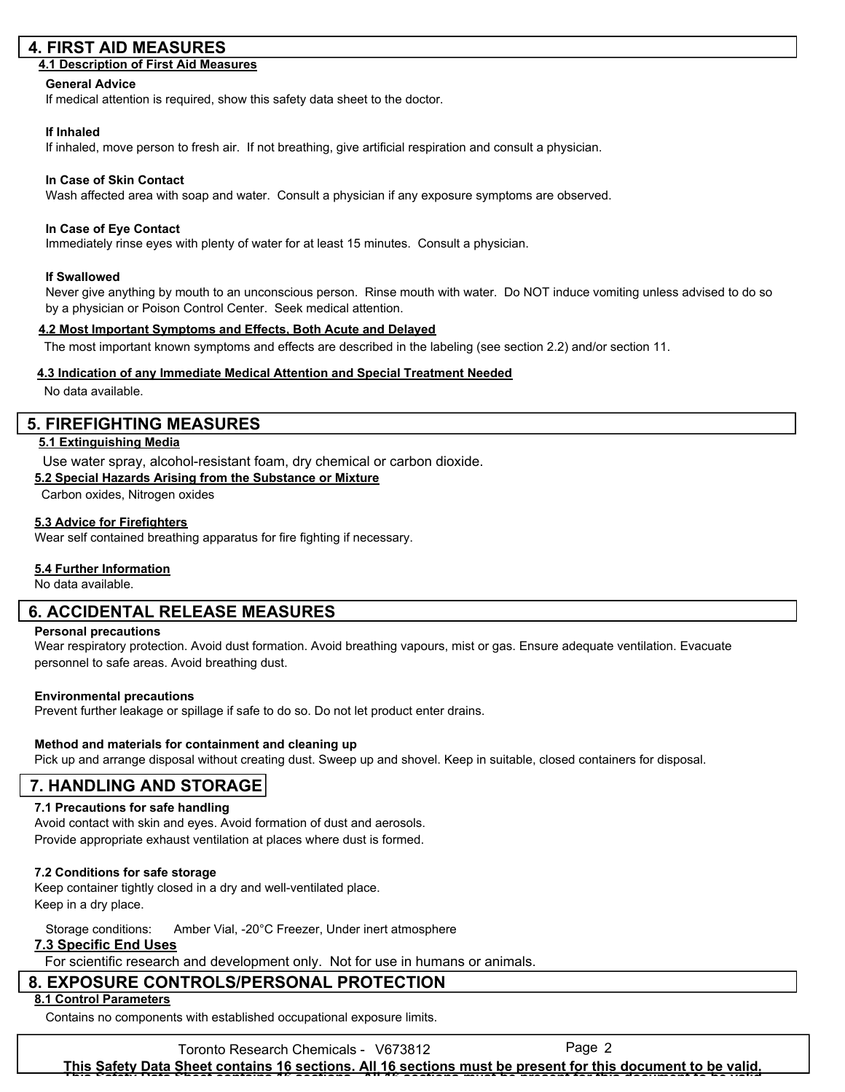## **4. FIRST AID MEASURES**

#### **4.1 Description of First Aid Measures**

#### **General Advice**

If medical attention is required, show this safety data sheet to the doctor.

#### **If Inhaled**

If inhaled, move person to fresh air. If not breathing, give artificial respiration and consult a physician.

#### **In Case of Skin Contact**

Wash affected area with soap and water. Consult a physician if any exposure symptoms are observed.

#### **In Case of Eye Contact**

Immediately rinse eyes with plenty of water for at least 15 minutes. Consult a physician.

#### **If Swallowed**

Never give anything by mouth to an unconscious person. Rinse mouth with water. Do NOT induce vomiting unless advised to do so by a physician or Poison Control Center. Seek medical attention.

#### **4.2 Most Important Symptoms and Effects, Both Acute and Delayed**

The most important known symptoms and effects are described in the labeling (see section 2.2) and/or section 11.

#### **4.3 Indication of any Immediate Medical Attention and Special Treatment Needed**

No data available.

## **5. FIREFIGHTING MEASURES**

## **5.1 Extinguishing Media**

Use water spray, alcohol-resistant foam, dry chemical or carbon dioxide.

#### **5.2 Special Hazards Arising from the Substance or Mixture**

Carbon oxides, Nitrogen oxides

#### **5.3 Advice for Firefighters**

Wear self contained breathing apparatus for fire fighting if necessary.

## **5.4 Further Information**

No data available.

## **6. ACCIDENTAL RELEASE MEASURES**

#### **Personal precautions**

Wear respiratory protection. Avoid dust formation. Avoid breathing vapours, mist or gas. Ensure adequate ventilation. Evacuate personnel to safe areas. Avoid breathing dust.

#### **Environmental precautions**

Prevent further leakage or spillage if safe to do so. Do not let product enter drains.

#### **Method and materials for containment and cleaning up**

Pick up and arrange disposal without creating dust. Sweep up and shovel. Keep in suitable, closed containers for disposal.

## **7. HANDLING AND STORAGE**

## **7.1 Precautions for safe handling**

Avoid contact with skin and eyes. Avoid formation of dust and aerosols. Provide appropriate exhaust ventilation at places where dust is formed.

## **7.2 Conditions for safe storage**

Keep container tightly closed in a dry and well-ventilated place. Keep in a dry place.

Storage conditions: Amber Vial, -20°C Freezer, Under inert atmosphere

## **7.3 Specific End Uses**

For scientific research and development only. Not for use in humans or animals.

## **8. EXPOSURE CONTROLS/PERSONAL PROTECTION**

## **8.1 Control Parameters**

Contains no components with established occupational exposure limits.

Toronto Research Chemicals - V673812 Page 2 **This Safety Data Sheet contains 16 sections. All 16 sections must be present for this document to be valid. This Safety Data Sheet contains 16 sections. All 16 sections must be present for this document to be valid.**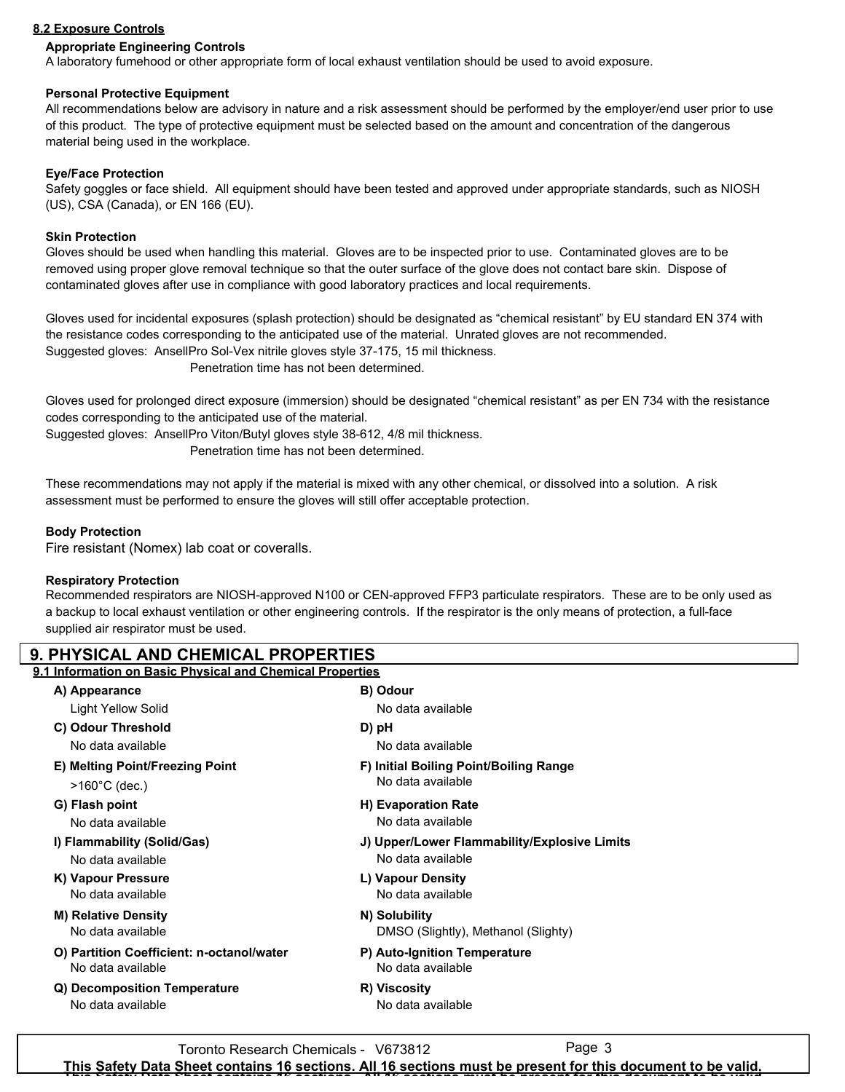## **8.2 Exposure Controls**

## **Appropriate Engineering Controls**

A laboratory fumehood or other appropriate form of local exhaust ventilation should be used to avoid exposure.

#### **Personal Protective Equipment**

All recommendations below are advisory in nature and a risk assessment should be performed by the employer/end user prior to use of this product. The type of protective equipment must be selected based on the amount and concentration of the dangerous material being used in the workplace.

### **Eye/Face Protection**

Safety goggles or face shield. All equipment should have been tested and approved under appropriate standards, such as NIOSH (US), CSA (Canada), or EN 166 (EU).

#### **Skin Protection**

Gloves should be used when handling this material. Gloves are to be inspected prior to use. Contaminated gloves are to be removed using proper glove removal technique so that the outer surface of the glove does not contact bare skin. Dispose of contaminated gloves after use in compliance with good laboratory practices and local requirements.

Gloves used for incidental exposures (splash protection) should be designated as "chemical resistant" by EU standard EN 374 with the resistance codes corresponding to the anticipated use of the material. Unrated gloves are not recommended. Suggested gloves: AnsellPro Sol-Vex nitrile gloves style 37-175, 15 mil thickness.

Penetration time has not been determined.

Gloves used for prolonged direct exposure (immersion) should be designated "chemical resistant" as per EN 734 with the resistance codes corresponding to the anticipated use of the material.

Suggested gloves: AnsellPro Viton/Butyl gloves style 38-612, 4/8 mil thickness.

Penetration time has not been determined.

These recommendations may not apply if the material is mixed with any other chemical, or dissolved into a solution. A risk assessment must be performed to ensure the gloves will still offer acceptable protection.

## **Body Protection**

Fire resistant (Nomex) lab coat or coveralls.

#### **Respiratory Protection**

Recommended respirators are NIOSH-approved N100 or CEN-approved FFP3 particulate respirators. These are to be only used as a backup to local exhaust ventilation or other engineering controls. If the respirator is the only means of protection, a full-face supplied air respirator must be used.

| <b>9. PHYSICAL AND CHEMICAL PROPERTIES</b>                |                                              |  |
|-----------------------------------------------------------|----------------------------------------------|--|
| 9.1 Information on Basic Physical and Chemical Properties |                                              |  |
| A) Appearance                                             | B) Odour                                     |  |
| Light Yellow Solid                                        | No data available                            |  |
| C) Odour Threshold                                        | D) pH                                        |  |
| No data available                                         | No data available                            |  |
| E) Melting Point/Freezing Point                           | F) Initial Boiling Point/Boiling Range       |  |
| $>160^{\circ}$ C (dec.)                                   | No data available                            |  |
| G) Flash point                                            | H) Evaporation Rate                          |  |
| No data available                                         | No data available                            |  |
| I) Flammability (Solid/Gas)                               | J) Upper/Lower Flammability/Explosive Limits |  |
| No data available                                         | No data available                            |  |
| K) Vapour Pressure                                        | L) Vapour Density                            |  |
| No data available                                         | No data available                            |  |
| <b>M) Relative Density</b>                                | N) Solubility                                |  |
| No data available                                         | DMSO (Slightly), Methanol (Slighty)          |  |
| O) Partition Coefficient: n-octanol/water                 | P) Auto-Ignition Temperature                 |  |
| No data available                                         | No data available                            |  |
| Q) Decomposition Temperature                              | R) Viscosity                                 |  |
| No data available                                         | No data available                            |  |
|                                                           |                                              |  |

Toronto Research Chemicals - V673812 Page 3 **This Safety Data Sheet contains 16 sections. All 16 sections must be present for this document to be valid. This Safety Data Sheet contains 16 sections. All 16 sections must be present for this document to be valid.**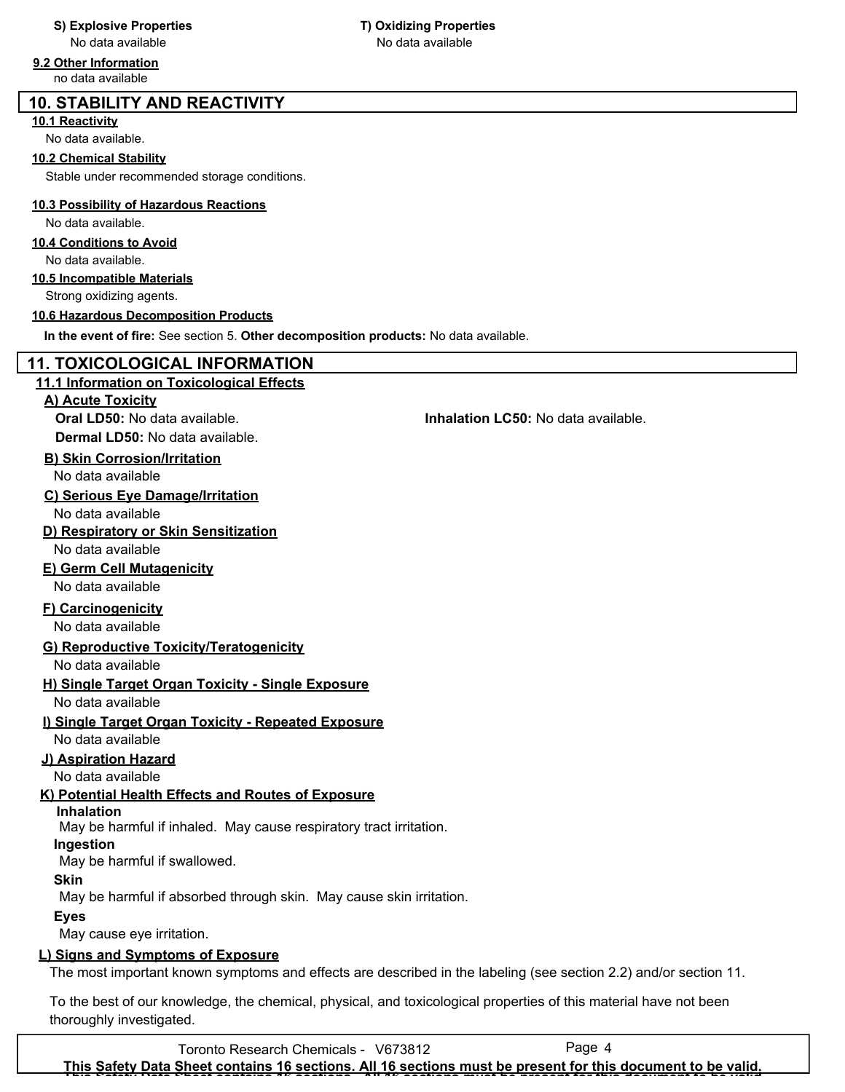## **9.2 Other Information**

no data available

## **10. STABILITY AND REACTIVITY**

## **10.1 Reactivity**

No data available.

## **10.2 Chemical Stability**

Stable under recommended storage conditions.

## **10.3 Possibility of Hazardous Reactions**

## No data available.

## **10.4 Conditions to Avoid**

No data available.

## **10.5 Incompatible Materials**

Strong oxidizing agents.

## **10.6 Hazardous Decomposition Products**

**In the event of fire:** See section 5. **Other decomposition products:** No data available.

## **11. TOXICOLOGICAL INFORMATION**

## **11.1 Information on Toxicological Effects**

**A) Acute Toxicity**

**Dermal LD50:** No data available.

## **B) Skin Corrosion/Irritation**

No data available

**C) Serious Eye Damage/Irritation**

No data available

**D) Respiratory or Skin Sensitization** No data available

## **E) Germ Cell Mutagenicity** No data available

## **F) Carcinogenicity**

No data available

## **G) Reproductive Toxicity/Teratogenicity**

No data available

## **H) Single Target Organ Toxicity - Single Exposure** No data available

## **I) Single Target Organ Toxicity - Repeated Exposure**

No data available

## **J) Aspiration Hazard**

No data available

## **K) Potential Health Effects and Routes of Exposure**

**Inhalation**

May be harmful if inhaled. May cause respiratory tract irritation.

## **Ingestion**

May be harmful if swallowed.

## **Skin**

May be harmful if absorbed through skin. May cause skin irritation.

## **Eyes**

May cause eye irritation.

## **L) Signs and Symptoms of Exposure**

The most important known symptoms and effects are described in the labeling (see section 2.2) and/or section 11.

To the best of our knowledge, the chemical, physical, and toxicological properties of this material have not been thoroughly investigated.

**Oral LD50:** No data available. **Inhalation LC50:** No data available.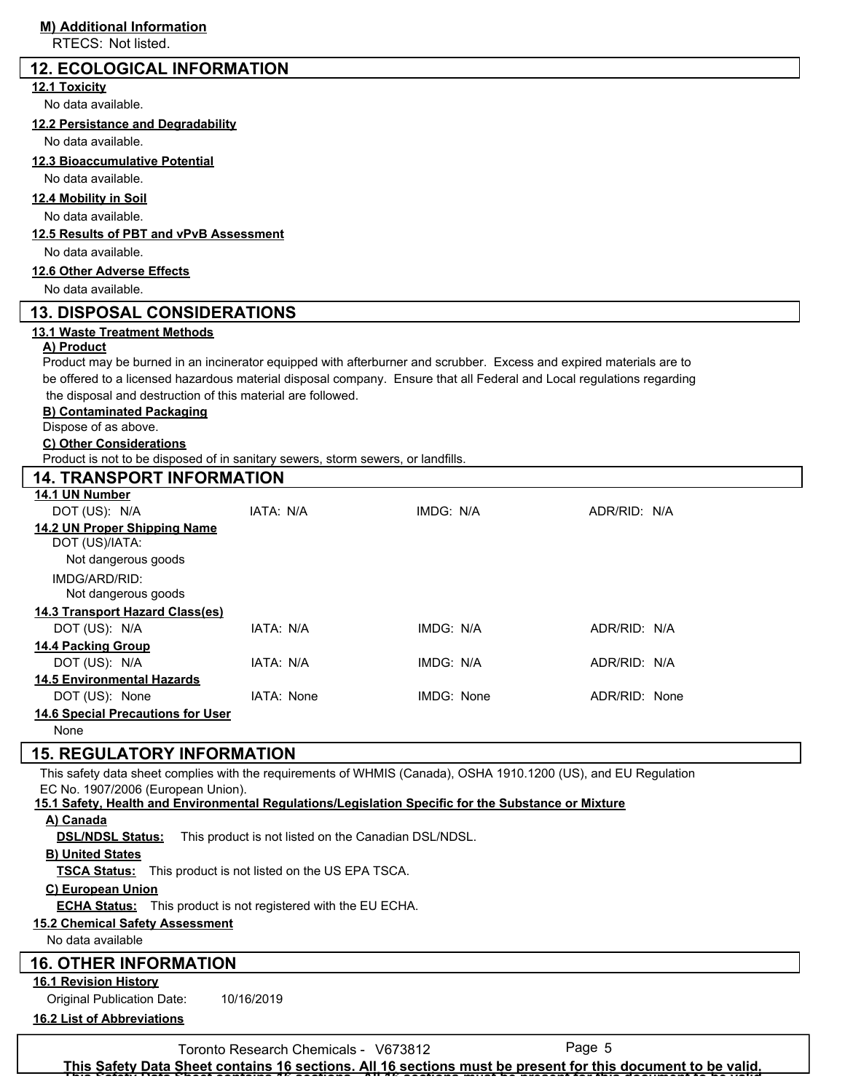RTECS: Not listed.

## **12. ECOLOGICAL INFORMATION**

#### **12.1 Toxicity**

No data available.

**12.2 Persistance and Degradability**

No data available.

#### **12.3 Bioaccumulative Potential**

No data available.

#### **12.4 Mobility in Soil**

No data available.

#### **12.5 Results of PBT and vPvB Assessment**

No data available.

#### **12.6 Other Adverse Effects**

No data available.

## **13. DISPOSAL CONSIDERATIONS**

#### **13.1 Waste Treatment Methods**

#### **A) Product**

Product may be burned in an incinerator equipped with afterburner and scrubber. Excess and expired materials are to be offered to a licensed hazardous material disposal company. Ensure that all Federal and Local regulations regarding the disposal and destruction of this material are followed.

#### **B) Contaminated Packaging**

Dispose of as above.

#### **C) Other Considerations**

Product is not to be disposed of in sanitary sewers, storm sewers, or landfills.

## **14. TRANSPORT INFORMATION 14.1 UN Number** DOT (US): N/A IATA: N/A IMDG: N/A ADR/RID: N/A **14.2 UN Proper Shipping Name** DOT (US)/IATA: IMDG/ARD/RID: Not dangerous goods Not dangerous goods **14.3 Transport Hazard Class(es)** DOT (US): N/A IATA: N/A IMDG: N/A ADR/RID: N/A **14.4 Packing Group** DOT (US): N/A IATA: N/A IMDG: N/A ADR/RID: N/A **14.5 Environmental Hazards** DOT (US): None IATA: None IMDG: None IMDG: None ADR/RID: None **14.6 Special Precautions for User** None

## **15. REGULATORY INFORMATION**

This safety data sheet complies with the requirements of WHMIS (Canada), OSHA 1910.1200 (US), and EU Regulation EC No. 1907/2006 (European Union).

#### **15.1 Safety, Health and Environmental Regulations/Legislation Specific for the Substance or Mixture**

## **A) Canada**

**DSL/NDSL Status:** This product is not listed on the Canadian DSL/NDSL.

## **B) United States**

**TSCA Status:** This product is not listed on the US EPA TSCA.

## **C) European Union**

**ECHA Status:** This product is not registered with the EU ECHA.

## **15.2 Chemical Safety Assessment**

No data available

## **16. OTHER INFORMATION**

**16.1 Revision History**

Original Publication Date: 10/16/2019

**16.2 List of Abbreviations**

Toronto Research Chemicals - V673812

**This Safety Data Sheet contains 16 sections. All 16 sections must be present for this document to be valid. This Safety Data Sheet contains 16 sections. All 16 sections must be present for this document to be valid.**